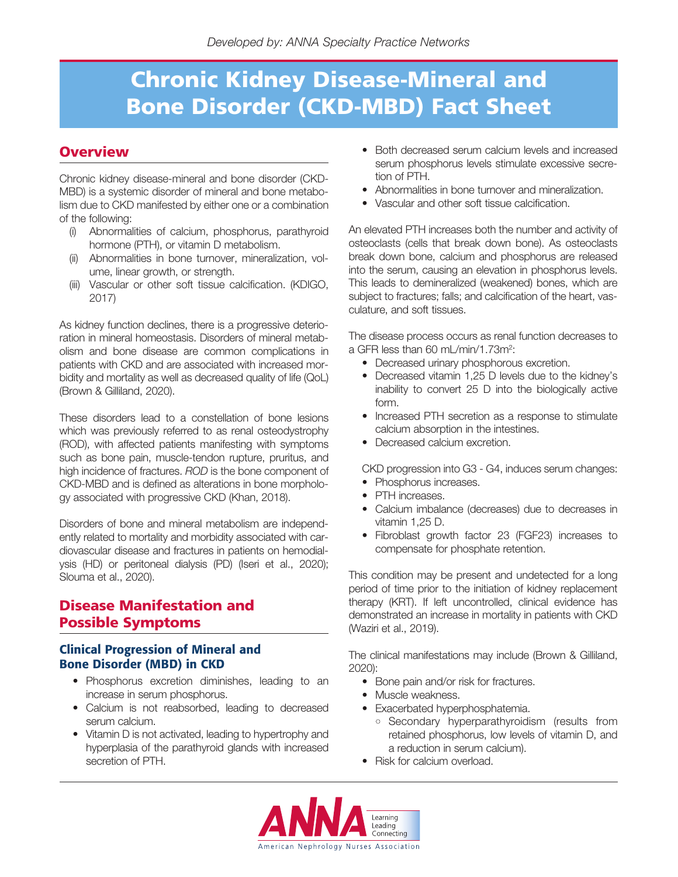## **Overview**

Chronic kidney disease-mineral and bone disorder (CKD-MBD) is a systemic disorder of mineral and bone metabolism due to CKD manifested by either one or a combination of the following:

- (i) Abnormalities of calcium, phosphorus, parathyroid hormone (PTH), or vitamin D metabolism.
- (ii) Abnormalities in bone turnover, mineralization, volume, linear growth, or strength.
- (iii) Vascular or other soft tissue calcification. (KDIGO, 2017)

As kidney function declines, there is a progressive deterioration in mineral homeostasis. Disorders of mineral metabolism and bone disease are common complications in patients with CKD and are associated with increased morbidity and mortality as well as decreased quality of life (QoL) (Brown & Gilliland, 2020).

These disorders lead to a constellation of bone lesions which was previously referred to as renal osteodystrophy (ROD), with affected patients manifesting with symptoms such as bone pain, muscle-tendon rupture, pruritus, and high incidence of fractures. ROD is the bone component of CKD-MBD and is defined as alterations in bone morphology associated with progressive CKD (Khan, 2018).

Disorders of bone and mineral metabolism are independently related to mortality and morbidity associated with cardiovascular disease and fractures in patients on hemodialysis (HD) or peritoneal dialysis (PD) (Iseri et al., 2020); Slouma et al., 2020).

## **Disease Manifestation and Possible Symptoms**

## **Clinical Progression of Mineral and Bone Disorder (MBD) in CKD**

- Phosphorus excretion diminishes, leading to an increase in serum phosphorus.
- Calcium is not reabsorbed, leading to decreased serum calcium.
- Vitamin D is not activated, leading to hypertrophy and hyperplasia of the parathyroid glands with increased secretion of PTH.
- Both decreased serum calcium levels and increased serum phosphorus levels stimulate excessive secretion of PTH.
- Abnormalities in bone turnover and mineralization.
- Vascular and other soft tissue calcification.

An elevated PTH increases both the number and activity of osteoclasts (cells that break down bone). As osteoclasts break down bone, calcium and phosphorus are released into the serum, causing an elevation in phosphorus levels. This leads to demineralized (weakened) bones, which are subject to fractures; falls; and calcification of the heart, vasculature, and soft tissues.

The disease process occurs as renal function decreases to a GFR less than 60 mL/min/1.73m<sup>2</sup>:

- Decreased urinary phosphorous excretion.
- Decreased vitamin 1,25 D levels due to the kidney's inability to convert 25 D into the biologically active form.
- Increased PTH secretion as a response to stimulate calcium absorption in the intestines.
- Decreased calcium excretion.

CKD progression into G3 - G4, induces serum changes:

- Phosphorus increases.
- PTH increases.
- Calcium imbalance (decreases) due to decreases in vitamin 1,25 D.
- Fibroblast growth factor 23 (FGF23) increases to compensate for phosphate retention.

This condition may be present and undetected for a long period of time prior to the initiation of kidney replacement therapy (KRT). If left uncontrolled, clinical evidence has demonstrated an increase in mortality in patients with CKD (Waziri et al., 2019).

The clinical manifestations may include (Brown & Gilliland, 2020):

- Bone pain and/or risk for fractures.
- Muscle weakness.
- Exacerbated hyperphosphatemia.
	- Secondary hyperparathyroidism (results from retained phosphorus, low levels of vitamin D, and a reduction in serum calcium).
- Risk for calcium overload.

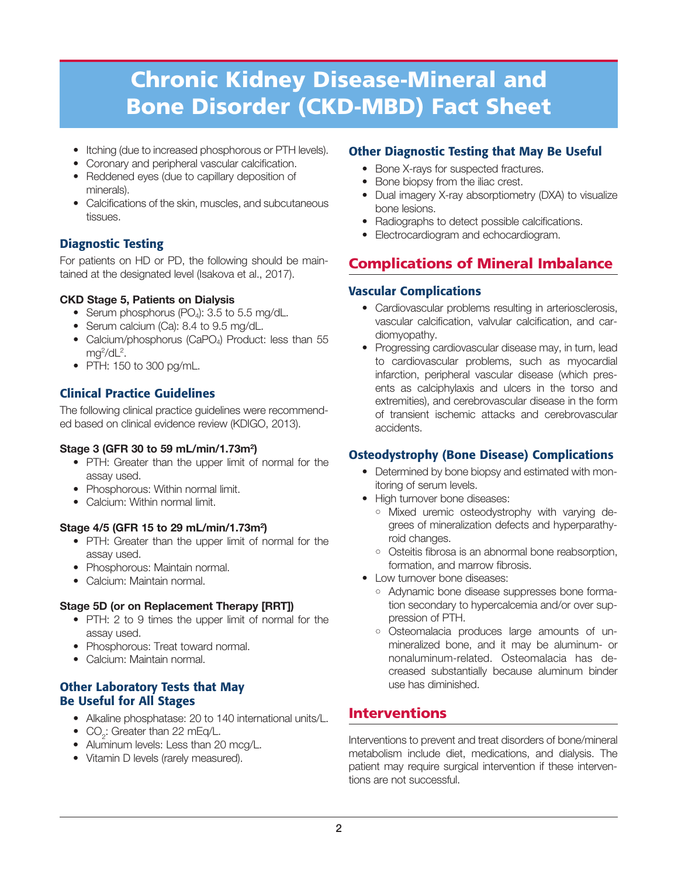- Itching (due to increased phosphorous or PTH levels).
- Coronary and peripheral vascular calcification.
- Reddened eyes (due to capillary deposition of minerals).
- Calcifications of the skin, muscles, and subcutaneous tissues.

## **Diagnostic Testing**

For patients on HD or PD, the following should be maintained at the designated level (Isakova et al., 2017).

### **CKD Stage 5, Patients on Dialysis**

- Serum phosphorus  $(PO<sub>4</sub>)$ : 3.5 to 5.5 mg/dL.
- Serum calcium (Ca): 8.4 to 9.5 mg/dL.
- Calcium/phosphorus (CaPO<sub>4</sub>) Product: less than 55 mg<sup>2</sup>/dL<sup>2</sup>.
- PTH: 150 to 300 pg/mL.

## **Clinical Practice Guidelines**

The following clinical practice guidelines were recommended based on clinical evidence review (KDIGO, 2013).

#### **Stage 3 (GFR 30 to 59 mL/min/1.73m2 )**

- PTH: Greater than the upper limit of normal for the assay used.
- Phosphorous: Within normal limit.
- Calcium: Within normal limit.

#### **Stage 4/5 (GFR 15 to 29 mL/min/1.73m2 )**

- PTH: Greater than the upper limit of normal for the assay used.
- Phosphorous: Maintain normal.
- Calcium: Maintain normal.

### **Stage 5D (or on Replacement Therapy [RRT])**

- PTH: 2 to 9 times the upper limit of normal for the assay used.
- Phosphorous: Treat toward normal.
- Calcium: Maintain normal.

## **Other Laboratory Tests that May Be Useful for All Stages**

- Alkaline phosphatase: 20 to 140 international units/L.
- $CO_2$ : Greater than 22 mEq/L.
- Aluminum levels: Less than 20 mcg/L.
- Vitamin D levels (rarely measured).

## **Other Diagnostic Testing that May Be Useful**

- Bone X-rays for suspected fractures.
- Bone biopsy from the iliac crest.
- Dual imagery X-ray absorptiometry (DXA) to visualize bone lesions.
- Radiographs to detect possible calcifications.
- Electrocardiogram and echocardiogram.

## **Complications of Mineral Imbalance**

### **Vascular Complications**

- Cardiovascular problems resulting in arteriosclerosis, vascular calcification, valvular calcification, and cardiomyopathy.
- Progressing cardiovascular disease may, in turn, lead to cardiovascular problems, such as myocardial infarction, peripheral vascular disease (which presents as calciphylaxis and ulcers in the torso and extremities), and cerebrovascular disease in the form of transient ischemic attacks and cerebrovascular accidents.

## **Osteodystrophy (Bone Disease) Complications**

- Determined by bone biopsy and estimated with monitoring of serum levels.
- High turnover bone diseases:
	- Mixed uremic osteodystrophy with varying de grees of mineralization defects and hyperparathyroid changes.
	- Osteitis fibrosa is an abnormal bone reabsorption, formation, and marrow fibrosis.
- Low turnover bone diseases:
	- Adynamic bone disease suppresses bone formation secondary to hypercalcemia and/or over suppression of PTH.
	- <sup>o</sup> Osteomalacia produces large amounts of unmineralized bone, and it may be aluminum- or nonaluminum-related. Osteomalacia has decreased substantially because aluminum binder use has diminished.

## **Interventions**

Interventions to prevent and treat disorders of bone/mineral metabolism include diet, medications, and dialysis. The patient may require surgical intervention if these interventions are not successful.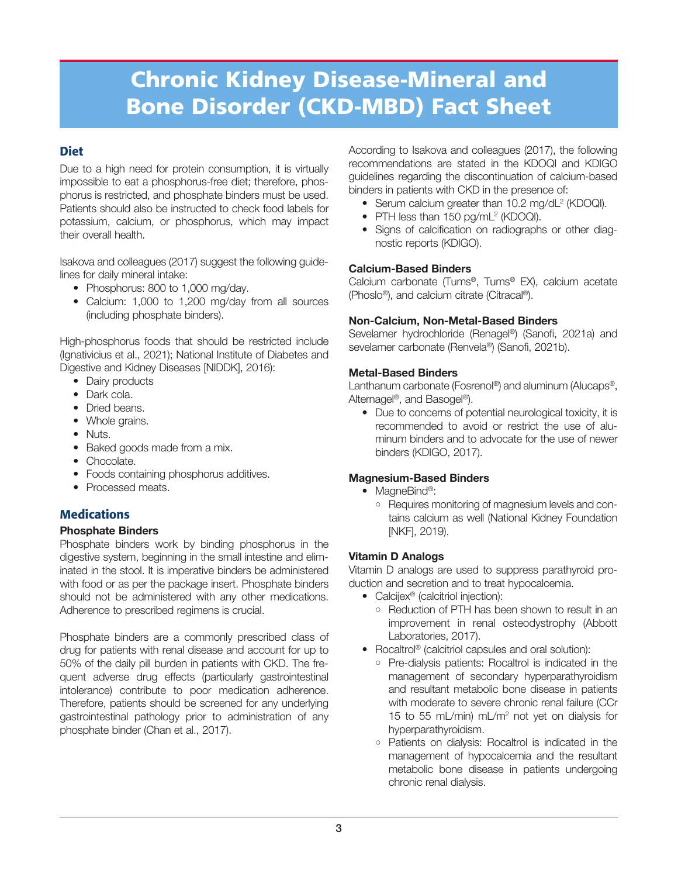## **Diet**

Due to a high need for protein consumption, it is virtually impossible to eat a phosphorus-free diet; therefore, phosphorus is restricted, and phosphate binders must be used. Patients should also be instructed to check food labels for potassium, calcium, or phosphorus, which may impact their overall health.

Isakova and colleagues (2017) suggest the following guidelines for daily mineral intake:

- Phosphorus: 800 to 1,000 mg/day.
- Calcium: 1,000 to 1,200 mg/day from all sources (including phosphate binders).

High-phosphorus foods that should be restricted include (Ignativicius et al., 2021); National Institute of Diabetes and Digestive and Kidney Diseases [NIDDK], 2016):

- Dairy products
- Dark cola.
- Dried beans.
- Whole grains.
- Nuts.
- Baked goods made from a mix.
- Chocolate.
- Foods containing phosphorus additives.
- Processed meats.

## **Medications**

#### **Phosphate Binders**

Phosphate binders work by binding phosphorus in the digestive system, beginning in the small intestine and eliminated in the stool. It is imperative binders be administered with food or as per the package insert. Phosphate binders should not be administered with any other medications. Adherence to prescribed regimens is crucial.

Phosphate binders are a commonly prescribed class of drug for patients with renal disease and account for up to 50% of the daily pill burden in patients with CKD. The frequent adverse drug effects (particularly gastrointestinal intolerance) contribute to poor medication adherence. Therefore, patients should be screened for any underlying gastrointestinal pathology prior to administration of any phosphate binder (Chan et al., 2017).

According to Isakova and colleagues (2017), the following recommendations are stated in the KDOQI and KDIGO guidelines regarding the discontinuation of calcium-based binders in patients with CKD in the presence of:

- Serum calcium greater than 10.2 mg/dL<sup>2</sup> (KDOQI).
- PTH less than 150 pg/mL<sup>2</sup> (KDOQI).
- Signs of calcification on radiographs or other diagnostic reports (KDIGO).

#### **Calcium-Based Binders**

Calcium carbonate (Tums®, Tums® EX), calcium acetate (Phoslo®), and calcium citrate (Citracal®).

#### **Non-Calcium, Non-Metal-Based Binders**

Sevelamer hydrochloride (Renagel®) (Sanofi, 2021a) and sevelamer carbonate (Renvela®) (Sanofi, 2021b).

#### **Metal-Based Binders**

Lanthanum carbonate (Fosrenol®) and aluminum (Alucaps®, Alternagel®, and Basogel®).

• Due to concerns of potential neurological toxicity, it is recommended to avoid or restrict the use of aluminum binders and to advocate for the use of newer binders (KDIGO, 2017).

#### **Magnesium-Based Binders**

- MagneBind®:
	- Requires monitoring of magnesium levels and contains calcium as well (National Kidney Foundation [NKF], 2019).

#### **Vitamin D Analogs**

Vitamin D analogs are used to suppress parathyroid production and secretion and to treat hypocalcemia.

- Calcijex<sup>®</sup> (calcitriol injection):
	- Reduction of PTH has been shown to result in an improvement in renal osteodystrophy (Abbott Laboratories, 2017).
- Rocaltrol<sup>®</sup> (calcitriol capsules and oral solution):
	- Pre-dialysis patients: Rocaltrol is indicated in the management of secondary hyperparathyroidism and resultant metabolic bone disease in patients with moderate to severe chronic renal failure (CCr 15 to 55 mL/min) mL/m2 not yet on dialysis for hyperparathyroidism.
	- Patients on dialysis: Rocaltrol is indicated in the management of hypocalcemia and the resultant metabolic bone disease in patients undergoing chronic renal dialysis.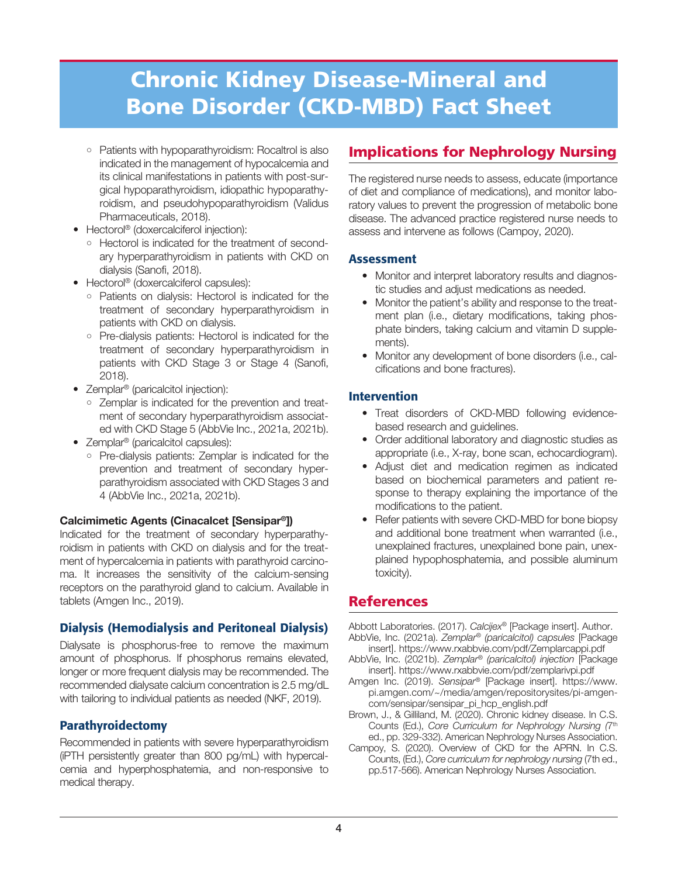- Patients with hypoparathyroidism: Rocaltrol is also indicated in the management of hypocalcemia and its clinical manifestations in patients with post-surgical hypoparathyroidism, idiopathic hypoparathyroidism, and pseudohypoparathyroidism (Validus Pharmaceuticals, 2018).
- Hectorol<sup>®</sup> (doxercalciferol injection):
	- Hectorol is indicated for the treatment of secondary hyperparathyroidism in patients with CKD on dialysis (Sanofi, 2018).
- Hectorol<sup>®</sup> (doxercalciferol capsules):
	- Patients on dialysis: Hectorol is indicated for the treatment of secondary hyperparathyroidism in patients with CKD on dialysis.
	- Pre-dialysis patients: Hectorol is indicated for the treatment of secondary hyperparathyroidism in patients with CKD Stage 3 or Stage 4 (Sanofi, 2018).
- Zemplar® (paricalcitol injection):
	- Zemplar is indicated for the prevention and treatment of secondary hyperparathyroidism associated with CKD Stage 5 (AbbVie Inc., 2021a, 2021b).
- Zemplar<sup>®</sup> (paricalcitol capsules):
	- Pre-dialysis patients: Zemplar is indicated for the prevention and treatment of secondary hyperparathyroidism associated with CKD Stages 3 and 4 (AbbVie Inc., 2021a, 2021b).

#### **Calcimimetic Agents (Cinacalcet [Sensipar®])**

Indicated for the treatment of secondary hyperparathyroidism in patients with CKD on dialysis and for the treatment of hypercalcemia in patients with parathyroid carcinoma. It increases the sensitivity of the calcium-sensing receptors on the parathyroid gland to calcium. Available in tablets (Amgen Inc., 2019).

### **Dialysis (Hemodialysis and Peritoneal Dialysis)**

Dialysate is phosphorus-free to remove the maximum amount of phosphorus. If phosphorus remains elevated, longer or more frequent dialysis may be recommended. The recommended dialysate calcium concentration is 2.5 mg/dL with tailoring to individual patients as needed (NKF, 2019).

### **Parathyroidectomy**

Recommended in patients with severe hyperparathyroidism (iPTH persistently greater than 800 pg/mL) with hypercalcemia and hyperphosphatemia, and non-responsive to medical therapy.

## **Implications for Nephrology Nursing**

The registered nurse needs to assess, educate (importance of diet and compliance of medications), and monitor laboratory values to prevent the progression of metabolic bone disease. The advanced practice registered nurse needs to assess and intervene as follows (Campoy, 2020).

### **Assessment**

- Monitor and interpret laboratory results and diagnostic studies and adjust medications as needed.
- Monitor the patient's ability and response to the treatment plan (i.e., dietary modifications, taking phosphate binders, taking calcium and vitamin D supplements).
- Monitor any development of bone disorders (i.e., calcifications and bone fractures).

### **Intervention**

- Treat disorders of CKD-MBD following evidencebased research and guidelines.
- Order additional laboratory and diagnostic studies as appropriate (i.e., X-ray, bone scan, echocardiogram).
- Adjust diet and medication regimen as indicated based on biochemical parameters and patient response to therapy explaining the importance of the modifications to the patient.
- Refer patients with severe CKD-MBD for bone biopsy and additional bone treatment when warranted (i.e., unexplained fractures, unexplained bone pain, unexplained hypophosphatemia, and possible aluminum toxicity).

## **References**

Abbott Laboratories. (2017). Calcijex® [Package insert]. Author. AbbVie, Inc. (2021a). Zemplar® (paricalcitol) capsules [Package

- insert]. https://www.rxabbvie.com/pdf/Zemplarcappi.pdf AbbVie, Inc. (2021b). Zemplar® (paricalcitol) injection [Package insert]. https://www.rxabbvie.com/pdf/zemplarivpi.pdf
- Amgen Inc. (2019). Sensipar® [Package insert]. https://www. pi.amgen.com/~/media/amgen/repositorysites/pi-amgencom/sensipar/sensipar\_pi\_hcp\_english.pdf
- Brown, J., & Gilliland, M. (2020). Chronic kidney disease. In C.S. Counts (Ed.), Core Curriculum for Nephrology Nursing (7th ed., pp. 329-332). American Nephrology Nurses Association.
- Campoy, S. (2020). Overview of CKD for the APRN. In C.S. Counts, (Ed.), Core curriculum for nephrology nursing (7th ed., pp.517-566). American Nephrology Nurses Association.